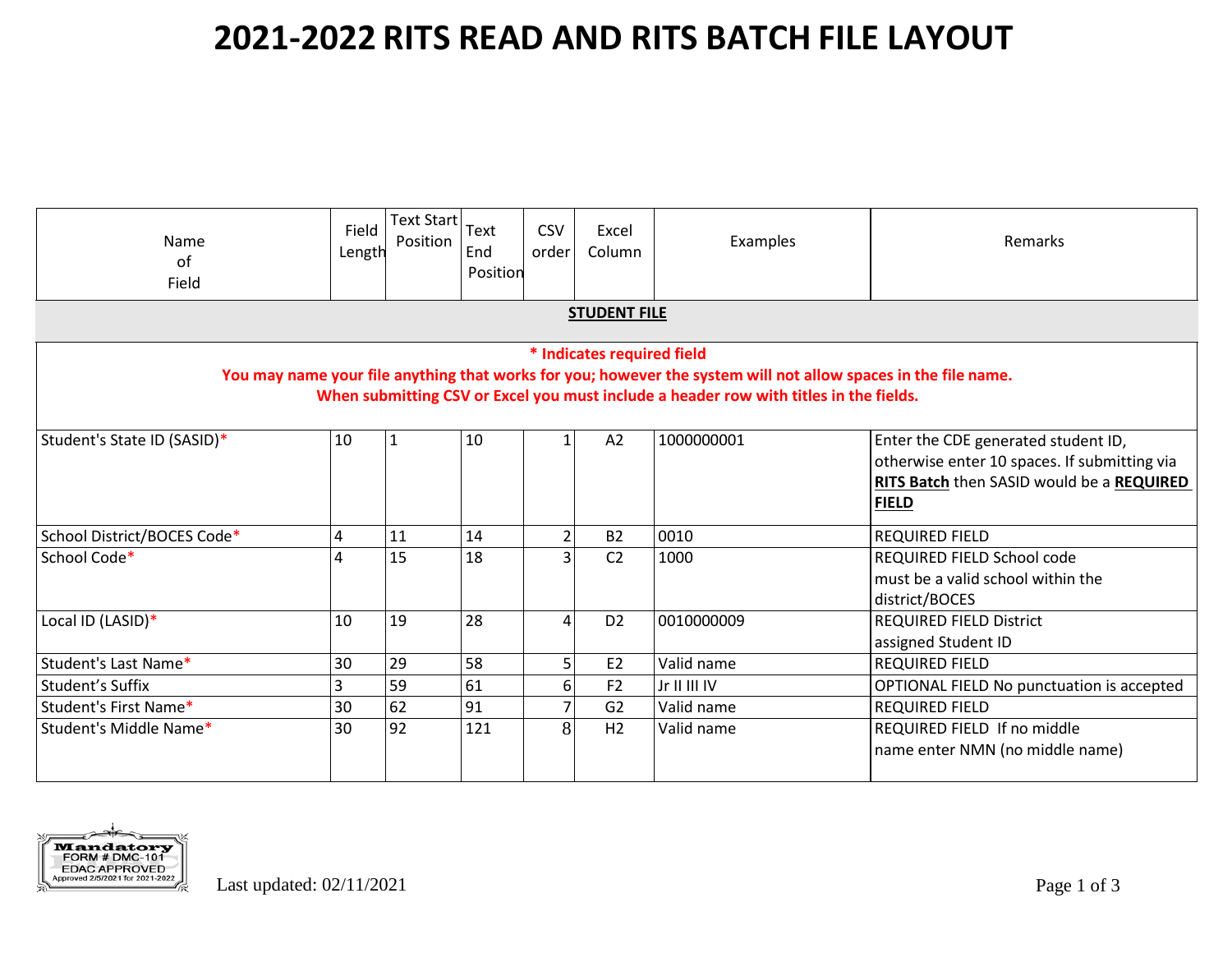| <b>Name</b><br>of<br>Field                                                                                                                                                                                                            | Field<br>Length | $\sqrt{\text{Text Start}}$ Text<br>Position | End<br>Position | <b>CSV</b><br>order | Excel<br>Column | Examples     | Remarks                                                                                                                                          |
|---------------------------------------------------------------------------------------------------------------------------------------------------------------------------------------------------------------------------------------|-----------------|---------------------------------------------|-----------------|---------------------|-----------------|--------------|--------------------------------------------------------------------------------------------------------------------------------------------------|
| <b>STUDENT FILE</b>                                                                                                                                                                                                                   |                 |                                             |                 |                     |                 |              |                                                                                                                                                  |
| * Indicates required field<br>You may name your file anything that works for you; however the system will not allow spaces in the file name.<br>When submitting CSV or Excel you must include a header row with titles in the fields. |                 |                                             |                 |                     |                 |              |                                                                                                                                                  |
| Student's State ID (SASID)*                                                                                                                                                                                                           | 10              | $\mathbf{1}$                                | 10              |                     | A2              | 1000000001   | Enter the CDE generated student ID,<br>otherwise enter 10 spaces. If submitting via<br>RITS Batch then SASID would be a REQUIRED<br><b>FIELD</b> |
| School District/BOCES Code*                                                                                                                                                                                                           | 4               | 11                                          | 14              | $\overline{2}$      | <b>B2</b>       | 0010         | <b>REQUIRED FIELD</b>                                                                                                                            |
| School Code*                                                                                                                                                                                                                          | Δ               | 15                                          | 18              | 3                   | C <sub>2</sub>  | 1000         | REQUIRED FIELD School code<br>must be a valid school within the<br>district/BOCES                                                                |
| Local ID (LASID)*                                                                                                                                                                                                                     | 10              | 19                                          | 28              | $\Delta$            | D <sub>2</sub>  | 0010000009   | <b>REQUIRED FIELD District</b><br>assigned Student ID                                                                                            |
| Student's Last Name*                                                                                                                                                                                                                  | 30              | 29                                          | 58              | 5 <sup>1</sup>      | E <sub>2</sub>  | Valid name   | <b>REQUIRED FIELD</b>                                                                                                                            |
| Student's Suffix                                                                                                                                                                                                                      | 3               | 59                                          | 61              | 6 <sup>1</sup>      | F <sub>2</sub>  | Jr II III IV | OPTIONAL FIELD No punctuation is accepted                                                                                                        |
| Student's First Name*                                                                                                                                                                                                                 | 30              | 62                                          | 91              | $\overline{7}$      | G2              | Valid name   | <b>REQUIRED FIELD</b>                                                                                                                            |
| Student's Middle Name*                                                                                                                                                                                                                | 30              | 92                                          | 121             | $\overline{8}$      | H2              | Valid name   | REQUIRED FIELD If no middle<br>name enter NMN (no middle name)                                                                                   |

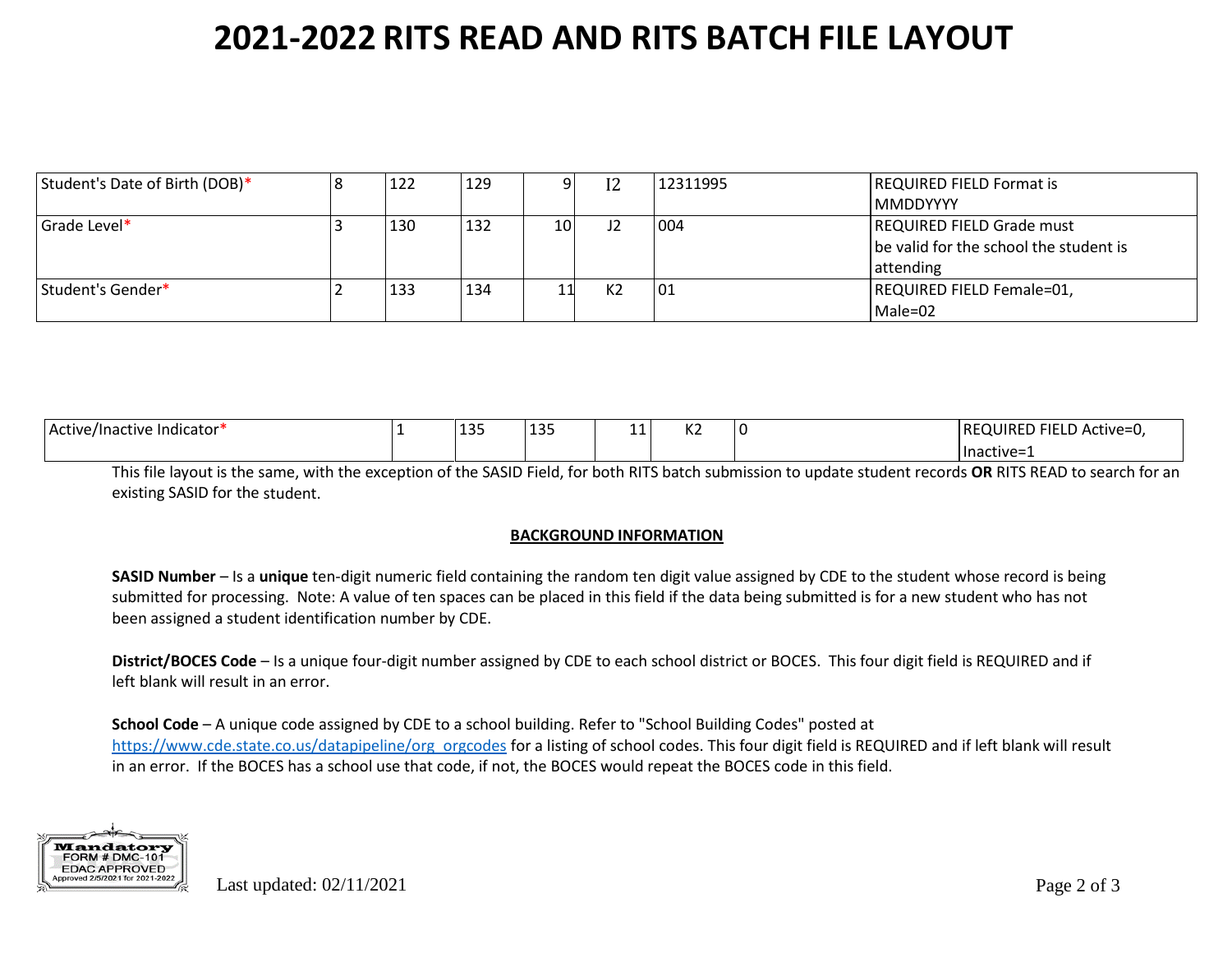| Student's Date of Birth (DOB)* | 122 | 129 | ΩI  | I2 | 12311995 | <b>REQUIRED FIELD Format is</b>        |
|--------------------------------|-----|-----|-----|----|----------|----------------------------------------|
|                                |     |     |     |    |          | l MMDDYYYY                             |
| Grade Level*                   | 130 | 132 | 10I | J2 | 004      | <b>REQUIRED FIELD Grade must</b>       |
|                                |     |     |     |    |          | be valid for the school the student is |
|                                |     |     |     |    |          | attending                              |
| Student's Gender*              | 133 | 134 | 11  | K2 | 101      | REQUIRED FIELD Female=01,              |
|                                |     |     |     |    |          | Male=02                                |

| .<br>Active/Inactive Indicator* | $A \cap E$<br>∸∽ | 121<br><b>. .</b> . | ᆠᆂ | $\mathbf{z}$<br>NZ. | ר <sup>י</sup> FIELD Active=u,<br> REQUIRED |
|---------------------------------|------------------|---------------------|----|---------------------|---------------------------------------------|
|                                 |                  |                     |    |                     | Inactive=1                                  |

This file layout is the same, with the exception of the SASID Field, for both RITS batch submission to update student records **OR** RITS READ to search for an existing SASID for the student.

#### **BACKGROUND INFORMATION**

**SASID Number** – Is a **unique** ten-digit numeric field containing the random ten digit value assigned by CDE to the student whose record is being submitted for processing. Note: A value of ten spaces can be placed in this field if the data being submitted is for a new student who has not been assigned a student identification number by CDE.

**District/BOCES Code** – Is a unique four-digit number assigned by CDE to each school district or BOCES. This four digit field is REQUIRED and if left blank will result in an error.

**School Code** – A unique code assigned by CDE to a school building. Refer to "School Building Codes" posted at [https://www.cde.state.co.us/datapipeline/org\\_orgcodes](https://www.cde.state.co.us/datapipeline/org_orgcodes) for a listing of school codes. This four digit field is REQUIRED and if left blank will result in an error. If the BOCES has a school use that code, if not, the BOCES would repeat the BOCES code in this field.

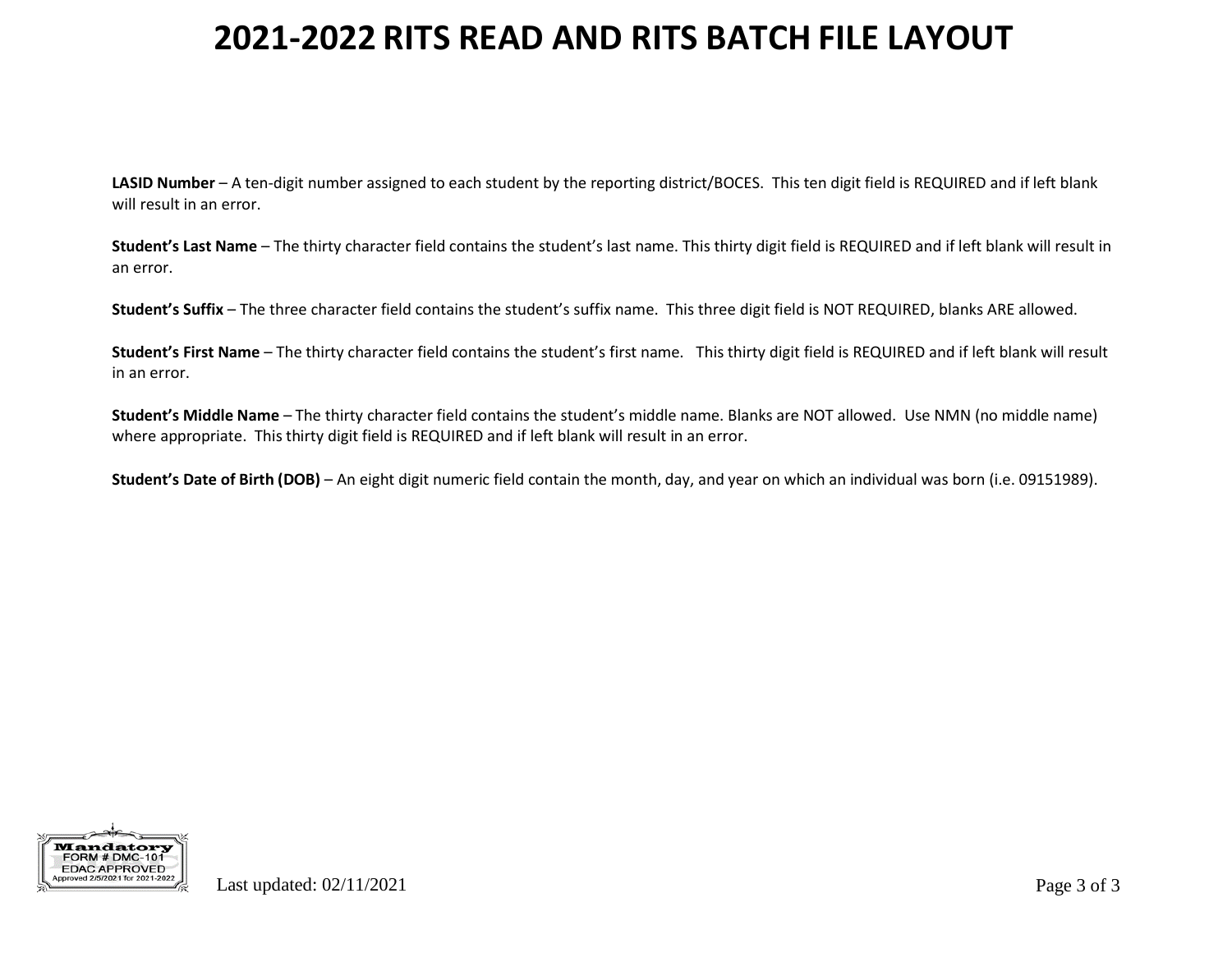**LASID Number** – A ten-digit number assigned to each student by the reporting district/BOCES. This ten digit field is REQUIRED and if left blank will result in an error.

**Student's Last Name** – The thirty character field contains the student's last name. This thirty digit field is REQUIRED and if left blank will result in an error.

**Student's Suffix** – The three character field contains the student's suffix name. This three digit field is NOT REQUIRED, blanks ARE allowed.

**Student's First Name** – The thirty character field contains the student's first name. This thirty digit field is REQUIRED and if left blank will result in an error.

**Student's Middle Name** – The thirty character field contains the student's middle name. Blanks are NOT allowed. Use NMN (no middle name) where appropriate. This thirty digit field is REQUIRED and if left blank will result in an error.

**Student's Date of Birth (DOB)** – An eight digit numeric field contain the month, day, and year on which an individual was born (i.e. 09151989).